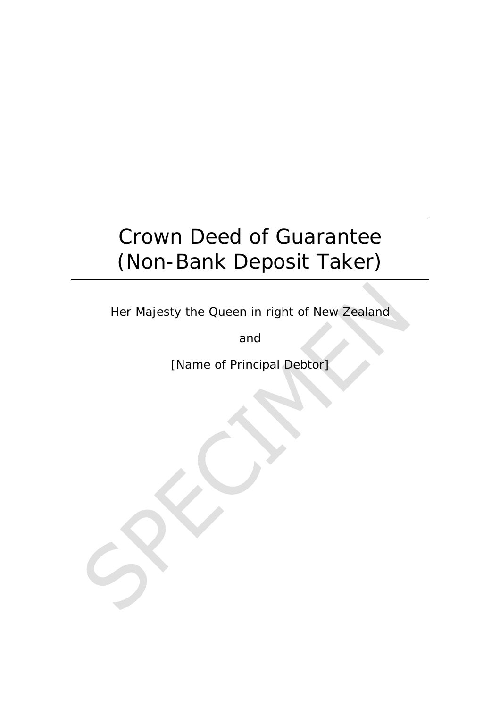# Crown Deed of Guarantee (Non-Bank Deposit Taker)

Her Majesty the Queen in right of New Zealand

and

[Name of Principal Debtor]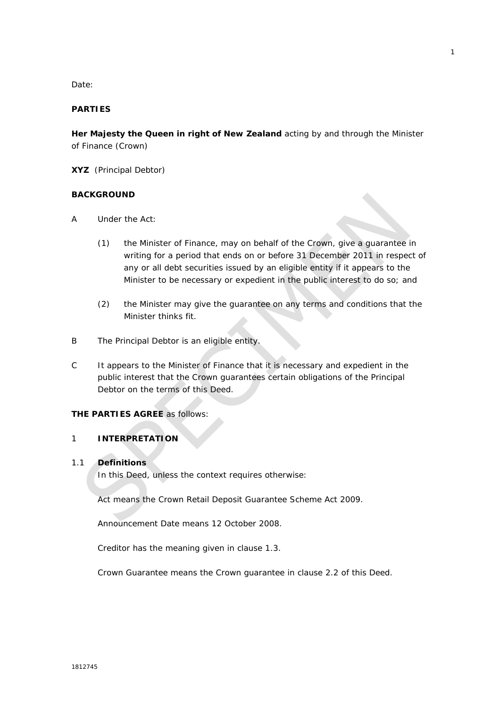*Date:*

# **PARTIES**

**Her Majesty the Queen in right of New Zealand** acting by and through the Minister of Finance (*Crown*)

**XYZ** (*Principal Debtor*)

#### **BACKGROUND**

- A Under the Act:
	- (1) the Minister of Finance, may on behalf of the Crown, give a guarantee in writing for a period that ends on or before 31 December 2011 in respect of any or all debt securities issued by an eligible entity if it appears to the Minister to be necessary or expedient in the public interest to do so; and
	- (2) the Minister may give the guarantee on any terms and conditions that the Minister thinks fit.
- B The Principal Debtor is an eligible entity.
- C It appears to the Minister of Finance that it is necessary and expedient in the public interest that the Crown guarantees certain obligations of the Principal Debtor on the terms of this Deed.

#### **THE PARTIES AGREE** as follows:

# 1 **INTERPRETATION**

#### 1.1 **Definitions**

In this Deed, unless the context requires otherwise:

Act means the Crown Retail Deposit Guarantee Scheme Act 2009.

*Announcement Date* means 12 October 2008.

*Creditor* has the meaning given in clause 1.3.

*Crown Guarantee* means the Crown guarantee in clause 2.2 of this Deed.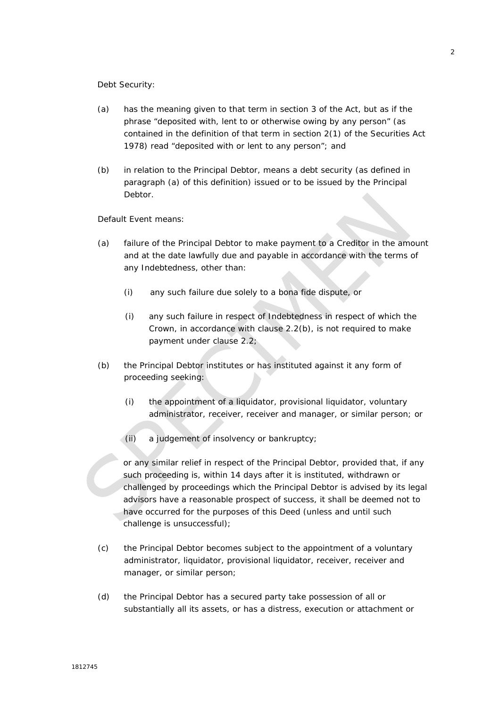#### *Debt Security:*

- (a) has the meaning given to that term in section 3 of the Act, but as if the phrase "deposited with, lent to or otherwise owing by any person" (as contained in the definition of that term in section 2(1) of the Securities Act 1978) read "deposited with or lent to any person"; and
- (b) in relation to the Principal Debtor, means a debt security (as defined in paragraph (a) of this definition) issued or to be issued by the Principal Debtor.

#### *Default Event* means:

- (a) failure of the Principal Debtor to make payment to a Creditor in the amount and at the date lawfully due and payable in accordance with the terms of any Indebtedness, other than:
	- (i) any such failure due solely to a bona fide dispute, or
	- (i) any such failure in respect of Indebtedness in respect of which the Crown, in accordance with clause 2.2(b), is not required to make payment under clause 2.2;
- (b) the Principal Debtor institutes or has instituted against it any form of proceeding seeking:
	- (i) the appointment of a liquidator, provisional liquidator, voluntary administrator, receiver, receiver and manager, or similar person; or
	- (ii) a judgement of insolvency or bankruptcy;

or any similar relief in respect of the Principal Debtor, provided that, if any such proceeding is, within 14 days after it is instituted, withdrawn or challenged by proceedings which the Principal Debtor is advised by its legal advisors have a reasonable prospect of success, it shall be deemed not to have occurred for the purposes of this Deed (unless and until such challenge is unsuccessful);

- (c) the Principal Debtor becomes subject to the appointment of a voluntary administrator, liquidator, provisional liquidator, receiver, receiver and manager, or similar person;
- (d) the Principal Debtor has a secured party take possession of all or substantially all its assets, or has a distress, execution or attachment or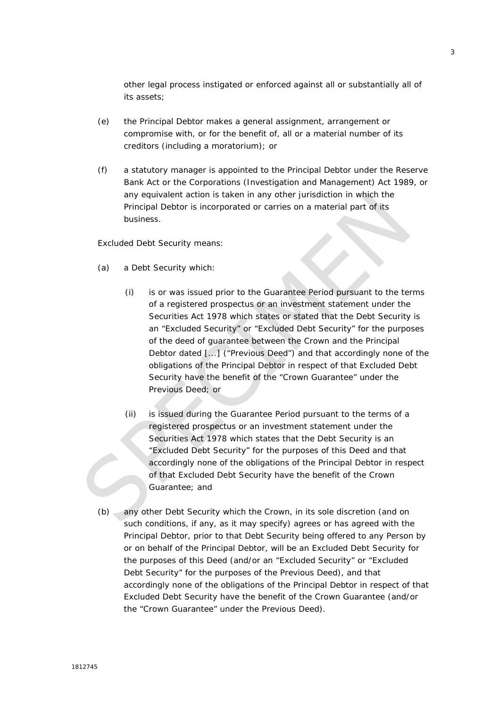other legal process instigated or enforced against all or substantially all of its assets;

- (e) the Principal Debtor makes a general assignment, arrangement or compromise with, or for the benefit of, all or a material number of its creditors (including a moratorium); or
- (f) a statutory manager is appointed to the Principal Debtor under the Reserve Bank Act or the Corporations (Investigation and Management) Act 1989, or any equivalent action is taken in any other jurisdiction in which the Principal Debtor is incorporated or carries on a material part of its business.

#### *Excluded Debt Security* means:

- (a) a Debt Security which:
	- (i) is or was issued prior to the Guarantee Period pursuant to the terms of a registered prospectus or an investment statement under the Securities Act 1978 which states or stated that the Debt Security is an "Excluded Security" or "Excluded Debt Security" for the purposes of the deed of guarantee between the Crown and the Principal Debtor dated [...] ("Previous Deed") and that accordingly none of the obligations of the Principal Debtor in respect of that Excluded Debt Security have the benefit of the "Crown Guarantee" under the Previous Deed; or
	- (ii) is issued during the Guarantee Period pursuant to the terms of a registered prospectus or an investment statement under the Securities Act 1978 which states that the Debt Security is an "Excluded Debt Security" for the purposes of this Deed and that accordingly none of the obligations of the Principal Debtor in respect of that Excluded Debt Security have the benefit of the Crown Guarantee; and
- (b) any other Debt Security which the Crown, in its sole discretion (and on such conditions, if any, as it may specify) agrees or has agreed with the Principal Debtor, prior to that Debt Security being offered to any Person by or on behalf of the Principal Debtor, will be an Excluded Debt Security for the purposes of this Deed (and/or an "Excluded Security" or "Excluded Debt Security" for the purposes of the Previous Deed), and that accordingly none of the obligations of the Principal Debtor in respect of that Excluded Debt Security have the benefit of the Crown Guarantee (and/or the "Crown Guarantee" under the Previous Deed).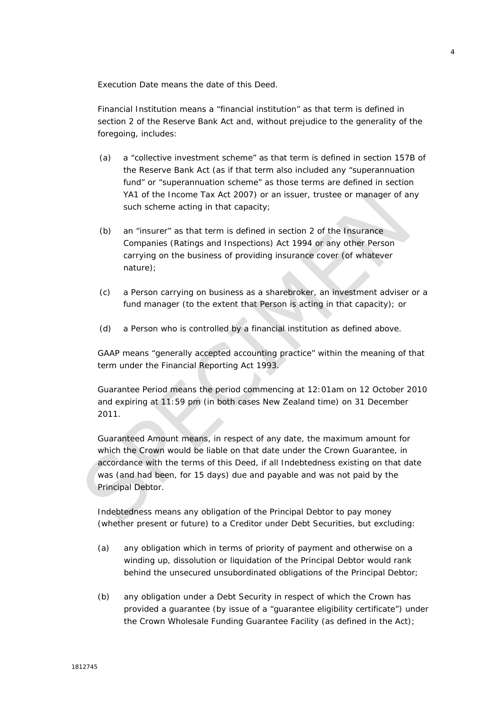*Execution Date* means the date of this Deed.

*Financial Institution* means a "financial institution" as that term is defined in section 2 of the Reserve Bank Act and, without prejudice to the generality of the foregoing, includes:

- (a) a "collective investment scheme" as that term is defined in section 157B of the Reserve Bank Act (as if that term also included any "superannuation fund" or "superannuation scheme" as those terms are defined in section YA1 of the Income Tax Act 2007) or an issuer, trustee or manager of any such scheme acting in that capacity;
- (b) an "insurer" as that term is defined in section 2 of the Insurance Companies (Ratings and Inspections) Act 1994 or any other Person carrying on the business of providing insurance cover (of whatever nature);
- (c) a Person carrying on business as a sharebroker, an investment adviser or a fund manager (to the extent that Person is acting in that capacity); or
- (d) a Person who is controlled by a financial institution as defined above.

*GAAP* means "generally accepted accounting practice" within the meaning of that term under the Financial Reporting Act 1993.

*Guarantee Period* means the period commencing at 12:01am on 12 October 2010 and expiring at 11:59 pm (in both cases New Zealand time) on 31 December 2011.

*Guaranteed Amount* means, in respect of any date, the maximum amount for which the Crown would be liable on that date under the Crown Guarantee, in accordance with the terms of this Deed, if all Indebtedness existing on that date was (and had been, for 15 days) due and payable and was not paid by the Principal Debtor.

*Indebtedness* means any obligation of the Principal Debtor to pay money (whether present or future) to a Creditor under Debt Securities, but excluding:

- (a) any obligation which in terms of priority of payment and otherwise on a winding up, dissolution or liquidation of the Principal Debtor would rank behind the unsecured unsubordinated obligations of the Principal Debtor;
- (b) any obligation under a Debt Security in respect of which the Crown has provided a guarantee (by issue of a "guarantee eligibility certificate") under the Crown Wholesale Funding Guarantee Facility (as defined in the Act);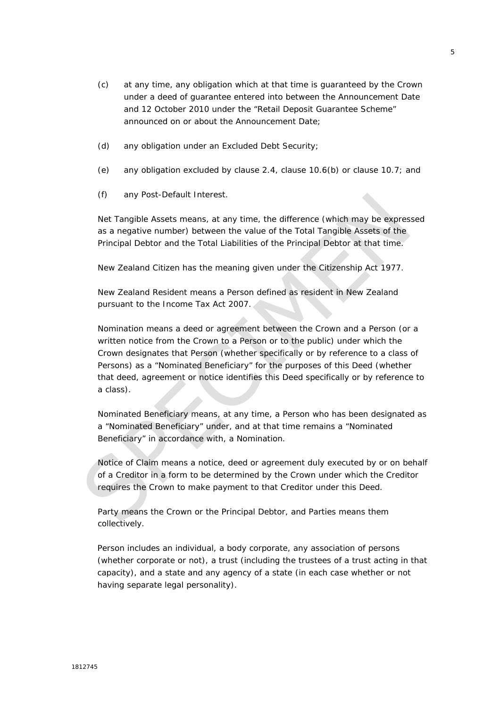- (c) at any time, any obligation which at that time is guaranteed by the Crown under a deed of guarantee entered into between the Announcement Date and 12 October 2010 under the "Retail Deposit Guarantee Scheme" announced on or about the Announcement Date;
- (d) any obligation under an Excluded Debt Security;
- (e) any obligation excluded by clause 2.4, clause 10.6(b) or clause 10.7; and
- (f) any Post-Default Interest.

*Net Tangible Assets* means, at any time, the difference (which may be expressed as a negative number) between the value of the Total Tangible Assets of the Principal Debtor and the Total Liabilities of the Principal Debtor at that time.

*New Zealand Citizen* has the meaning given under the Citizenship Act 1977.

*New Zealand Resident* means a Person defined as resident in New Zealand pursuant to the Income Tax Act 2007.

*Nomination* means a deed or agreement between the Crown and a Person (or a written notice from the Crown to a Person or to the public) under which the Crown designates that Person (whether specifically or by reference to a class of Persons) as a "Nominated Beneficiary" for the purposes of this Deed (whether that deed, agreement or notice identifies this Deed specifically or by reference to a class).

*Nominated Beneficiary* means, at any time, a Person who has been designated as a "Nominated Beneficiary" under, and at that time remains a "Nominated Beneficiary" in accordance with, a Nomination.

*Notice of Claim* means a notice, deed or agreement duly executed by or on behalf of a Creditor in a form to be determined by the Crown under which the Creditor requires the Crown to make payment to that Creditor under this Deed.

*Party* means the Crown or the Principal Debtor, and *Parties* means them collectively.

*Person* includes an individual, a body corporate, any association of persons (whether corporate or not), a trust (including the trustees of a trust acting in that capacity), and a state and any agency of a state (in each case whether or not having separate legal personality).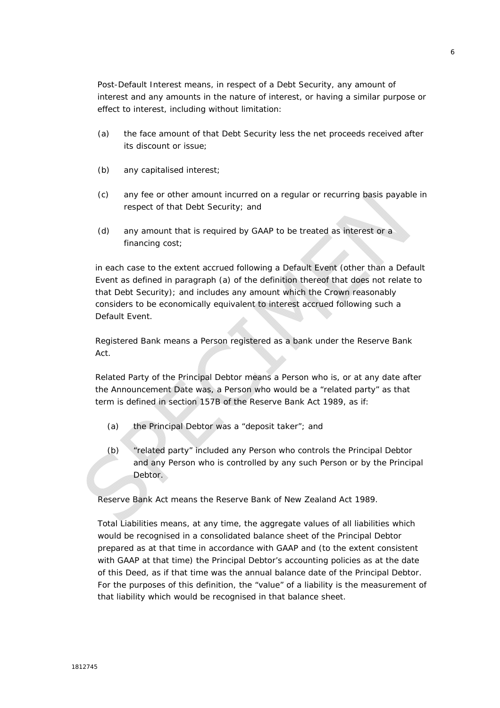*Post-Default Interest* means, in respect of a Debt Security, any amount of interest and any amounts in the nature of interest, or having a similar purpose or effect to interest, including without limitation:

- (a) the face amount of that Debt Security less the net proceeds received after its discount or issue;
- (b) any capitalised interest;
- (c) any fee or other amount incurred on a regular or recurring basis payable in respect of that Debt Security; and
- (d) any amount that is required by GAAP to be treated as interest or a financing cost;

in each case to the extent accrued following a Default Event (other than a Default Event as defined in paragraph (a) of the definition thereof that does not relate to that Debt Security); and includes any amount which the Crown reasonably considers to be economically equivalent to interest accrued following such a Default Event.

*Registered Bank* means a Person registered as a bank under the Reserve Bank Act.

*Related Party* of the Principal Debtor means a Person who is, or at any date after the Announcement Date was, a Person who would be a "related party" as that term is defined in section 157B of the Reserve Bank Act 1989, as if:

- (a) the Principal Debtor was a "deposit taker"; and
- (b) "related party" included any Person who controls the Principal Debtor and any Person who is controlled by any such Person or by the Principal Debtor.

*Reserve Bank Act* means the Reserve Bank of New Zealand Act 1989.

*Total Liabilities* means, at any time, the aggregate values of all liabilities which would be recognised in a consolidated balance sheet of the Principal Debtor prepared as at that time in accordance with GAAP and (to the extent consistent with GAAP at that time) the Principal Debtor's accounting policies as at the date of this Deed, as if that time was the annual balance date of the Principal Debtor. For the purposes of this definition, the "value" of a liability is the measurement of that liability which would be recognised in that balance sheet.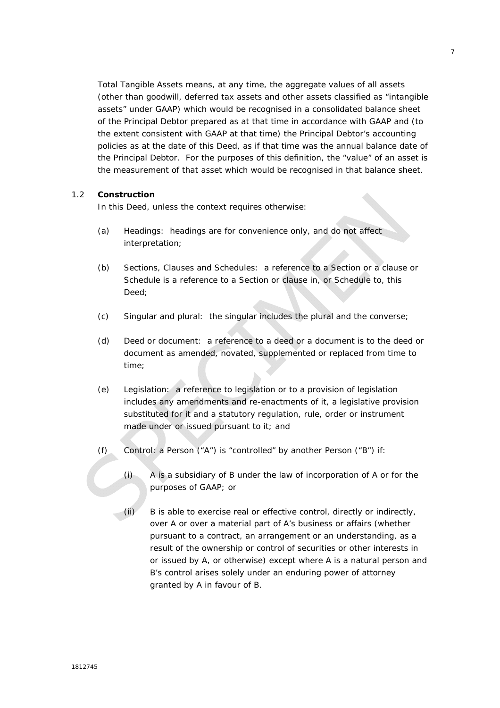*Total Tangible Assets* means, at any time, the aggregate values of all assets (other than goodwill, deferred tax assets and other assets classified as "intangible assets" under GAAP) which would be recognised in a consolidated balance sheet of the Principal Debtor prepared as at that time in accordance with GAAP and (to the extent consistent with GAAP at that time) the Principal Debtor's accounting policies as at the date of this Deed, as if that time was the annual balance date of the Principal Debtor. For the purposes of this definition, the "value" of an asset is the measurement of that asset which would be recognised in that balance sheet.

#### 1.2 **Construction**

In this Deed, unless the context requires otherwise:

- (a) *Headings:* headings are for convenience only, and do not affect interpretation;
- (b) *Sections, Clauses and Schedules:* a reference to a Section or a clause or Schedule is a reference to a Section or clause in, or Schedule to, this Deed;
- (c) *Singular and plural:* the singular includes the plural and the converse;
- (d) *Deed or document:* a reference to a deed or a document is to the deed or document as amended, novated, supplemented or replaced from time to time;
- (e) *Legislation:* a reference to legislation or to a provision of legislation includes any amendments and re-enactments of it, a legislative provision substituted for it and a statutory regulation, rule, order or instrument made under or issued pursuant to it; and
- (f) *Control:* a Person ("A") is "controlled" by another Person ("B") if:
	- (i) A is a subsidiary of B under the law of incorporation of A or for the purposes of GAAP; or
	- (ii) B is able to exercise real or effective control, directly or indirectly, over A or over a material part of A's business or affairs (whether pursuant to a contract, an arrangement or an understanding, as a result of the ownership or control of securities or other interests in or issued by A, or otherwise) except where A is a natural person and B's control arises solely under an enduring power of attorney granted by A in favour of B.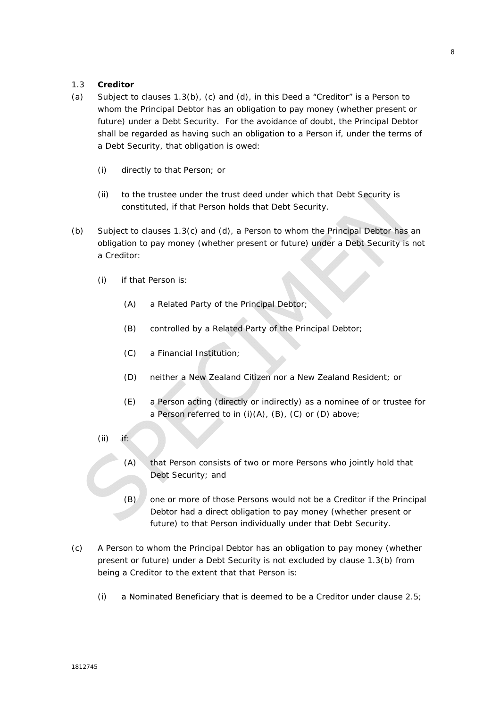# 1.3 **Creditor**

- (a) Subject to clauses  $1.3(b)$ , (c) and (d), in this Deed a "Creditor" is a Person to whom the Principal Debtor has an obligation to pay money (whether present or future) under a Debt Security. For the avoidance of doubt, the Principal Debtor shall be regarded as having such an obligation to a Person if, under the terms of a Debt Security, that obligation is owed:
	- (i) directly to that Person; or
	- (ii) to the trustee under the trust deed under which that Debt Security is constituted, if that Person holds that Debt Security.
- (b) Subject to clauses 1.3(c) and (d), a Person to whom the Principal Debtor has an obligation to pay money (whether present or future) under a Debt Security is not a Creditor:
	- (i) if that Person is:
		- (A) a Related Party of the Principal Debtor;
		- (B) controlled by a Related Party of the Principal Debtor;
		- (C) a Financial Institution;
		- (D) neither a New Zealand Citizen nor a New Zealand Resident; or
		- (E) a Person acting (directly or indirectly) as a nominee of or trustee for a Person referred to in  $(i)(A)$ ,  $(B)$ ,  $(C)$  or  $(D)$  above;
	- (ii) if:
		- (A) that Person consists of two or more Persons who jointly hold that Debt Security; and
		- (B) one or more of those Persons would not be a Creditor if the Principal Debtor had a direct obligation to pay money (whether present or future) to that Person individually under that Debt Security.
- (c) A Person to whom the Principal Debtor has an obligation to pay money (whether present or future) under a Debt Security is not excluded by clause 1.3(b) from being a Creditor to the extent that that Person is:
	- (i) a Nominated Beneficiary that is deemed to be a Creditor under clause 2.5;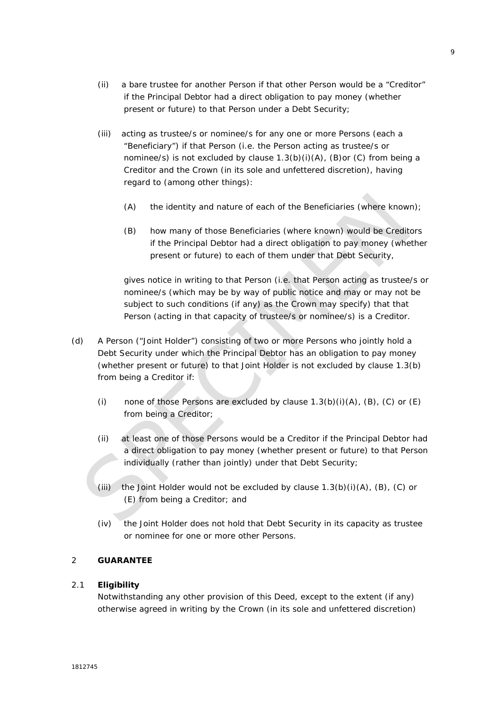- (ii) a bare trustee for another Person if that other Person would be a "Creditor" if the Principal Debtor had a direct obligation to pay money (whether present or future) to that Person under a Debt Security;
- (iii) acting as trustee/s or nominee/s for any one or more Persons (each a "Beneficiary") if that Person (i.e. the Person acting as trustee/s or nominee/s) is not excluded by clause  $1.3(b)(i)(A)$ , (B)or (C) from being a Creditor and the Crown (in its sole and unfettered discretion), having regard to (among other things):
	- (A) the identity and nature of each of the Beneficiaries (where known);
	- (B) how many of those Beneficiaries (where known) would be Creditors if the Principal Debtor had a direct obligation to pay money (whether present or future) to each of them under that Debt Security,

gives notice in writing to that Person (i.e. that Person acting as trustee/s or nominee/s (which may be by way of public notice and may or may not be subject to such conditions (if any) as the Crown may specify) that that Person (acting in that capacity of trustee/s or nominee/s) is a Creditor.

- (d) A Person ("Joint Holder") consisting of two or more Persons who jointly hold a Debt Security under which the Principal Debtor has an obligation to pay money (whether present or future) to that Joint Holder is not excluded by clause 1.3(b) from being a Creditor if:
	- (i) none of those Persons are excluded by clause  $1.3(b)(i)(A)$ ,  $(B)$ ,  $(C)$  or  $(E)$ from being a Creditor;
	- (ii) at least one of those Persons would be a Creditor if the Principal Debtor had a direct obligation to pay money (whether present or future) to that Person individually (rather than jointly) under that Debt Security;
	- (iii) the Joint Holder would not be excluded by clause  $1.3(b)(i)(A)$ , (B), (C) or (E) from being a Creditor; and
	- (iv) the Joint Holder does not hold that Debt Security in its capacity as trustee or nominee for one or more other Persons.

# 2 **GUARANTEE**

# 2.1 **Eligibility**

Notwithstanding any other provision of this Deed, except to the extent (if any) otherwise agreed in writing by the Crown (in its sole and unfettered discretion)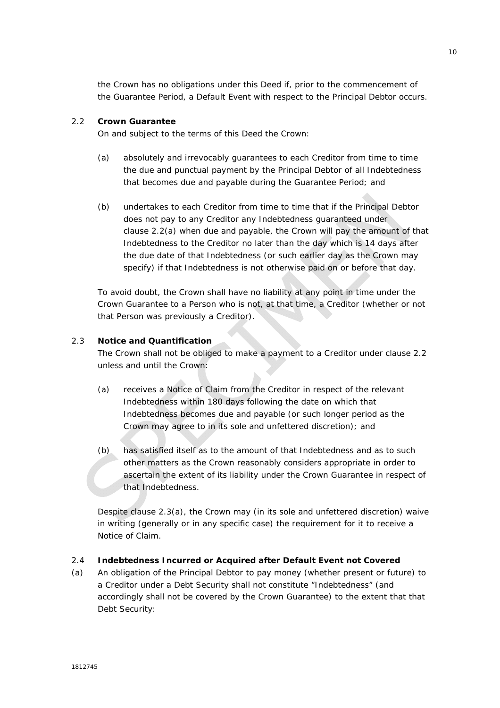the Crown has no obligations under this Deed if, prior to the commencement of the Guarantee Period, a Default Event with respect to the Principal Debtor occurs.

#### 2.2 **Crown Guarantee**

On and subject to the terms of this Deed the Crown:

- (a) absolutely and irrevocably guarantees to each Creditor from time to time the due and punctual payment by the Principal Debtor of all Indebtedness that becomes due and payable during the Guarantee Period; and
- (b) undertakes to each Creditor from time to time that if the Principal Debtor does not pay to any Creditor any Indebtedness guaranteed under clause 2.2(a) when due and payable, the Crown will pay the amount of that Indebtedness to the Creditor no later than the day which is 14 days after the due date of that Indebtedness (or such earlier day as the Crown may specify) if that Indebtedness is not otherwise paid on or before that day.

To avoid doubt, the Crown shall have no liability at any point in time under the Crown Guarantee to a Person who is not, at that time, a Creditor (whether or not that Person was previously a Creditor).

#### 2.3 **Notice and Quantification**

The Crown shall not be obliged to make a payment to a Creditor under clause 2.2 unless and until the Crown:

- (a) receives a Notice of Claim from the Creditor in respect of the relevant Indebtedness within 180 days following the date on which that Indebtedness becomes due and payable (or such longer period as the Crown may agree to in its sole and unfettered discretion); and
- (b) has satisfied itself as to the amount of that Indebtedness and as to such other matters as the Crown reasonably considers appropriate in order to ascertain the extent of its liability under the Crown Guarantee in respect of that Indebtedness.

Despite clause 2.3(a), the Crown may (in its sole and unfettered discretion) waive in writing (generally or in any specific case) the requirement for it to receive a Notice of Claim.

# 2.4 **Indebtedness Incurred or Acquired after Default Event not Covered**

(a) An obligation of the Principal Debtor to pay money (whether present or future) to a Creditor under a Debt Security shall not constitute "Indebtedness" (and accordingly shall not be covered by the Crown Guarantee) to the extent that that Debt Security: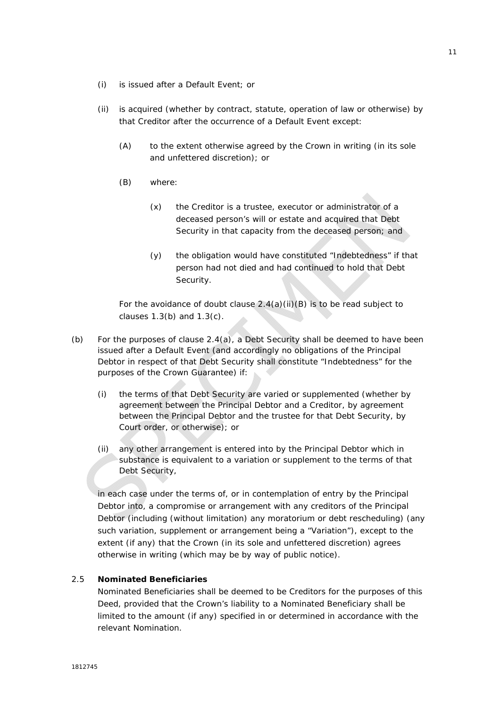- (i) is issued after a Default Event; or
- (ii) is acquired (whether by contract, statute, operation of law or otherwise) by that Creditor after the occurrence of a Default Event except:
	- (A) to the extent otherwise agreed by the Crown in writing (in its sole and unfettered discretion); or
	- (B) where:
		- (x) the Creditor is a trustee, executor or administrator of a deceased person's will or estate and acquired that Debt Security in that capacity from the deceased person; and
		- (y) the obligation would have constituted "Indebtedness" if that person had not died and had continued to hold that Debt Security.

For the avoidance of doubt clause  $2.4(a)(ii)(B)$  is to be read subject to clauses 1.3(b) and 1.3(c).

- (b) For the purposes of clause 2.4(a), a Debt Security shall be deemed to have been issued after a Default Event (and accordingly no obligations of the Principal Debtor in respect of that Debt Security shall constitute "Indebtedness" for the purposes of the Crown Guarantee) if:
	- (i) the terms of that Debt Security are varied or supplemented (whether by agreement between the Principal Debtor and a Creditor, by agreement between the Principal Debtor and the trustee for that Debt Security, by Court order, or otherwise); or
	- (ii) any other arrangement is entered into by the Principal Debtor which in substance is equivalent to a variation or supplement to the terms of that Debt Security,

in each case under the terms of, or in contemplation of entry by the Principal Debtor into, a compromise or arrangement with any creditors of the Principal Debtor (including (without limitation) any moratorium or debt rescheduling) (any such variation, supplement or arrangement being a "Variation"), except to the extent (if any) that the Crown (in its sole and unfettered discretion) agrees otherwise in writing (which may be by way of public notice).

#### 2.5 **Nominated Beneficiaries**

Nominated Beneficiaries shall be deemed to be Creditors for the purposes of this Deed, provided that the Crown's liability to a Nominated Beneficiary shall be limited to the amount (if any) specified in or determined in accordance with the relevant Nomination.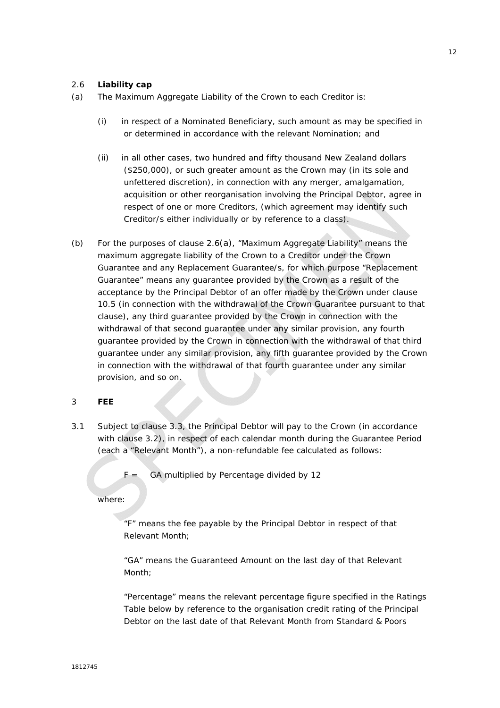## 2.6 **Liability cap**

- (a) The Maximum Aggregate Liability of the Crown to each Creditor is:
	- (i) in respect of a Nominated Beneficiary, such amount as may be specified in or determined in accordance with the relevant Nomination; and
	- (ii) in all other cases, two hundred and fifty thousand New Zealand dollars (\$250,000), or such greater amount as the Crown may (in its sole and unfettered discretion), in connection with any merger, amalgamation, acquisition or other reorganisation involving the Principal Debtor, agree in respect of one or more Creditors, (which agreement may identify such Creditor/s either individually or by reference to a class).
- (b) For the purposes of clause 2.6(a), "Maximum Aggregate Liability" means the maximum aggregate liability of the Crown to a Creditor under the Crown Guarantee and any Replacement Guarantee/s, for which purpose "Replacement Guarantee" means any guarantee provided by the Crown as a result of the acceptance by the Principal Debtor of an offer made by the Crown under clause 10.5 (in connection with the withdrawal of the Crown Guarantee pursuant to that clause), any third guarantee provided by the Crown in connection with the withdrawal of that second guarantee under any similar provision, any fourth guarantee provided by the Crown in connection with the withdrawal of that third guarantee under any similar provision, any fifth guarantee provided by the Crown in connection with the withdrawal of that fourth guarantee under any similar provision, and so on.

# 3 **FEE**

- 3.1 Subject to clause 3.3, the Principal Debtor will pay to the Crown (in accordance with clause 3.2), in respect of each calendar month during the Guarantee Period (each a "Relevant Month"), a non-refundable fee calculated as follows:
	- $F =$  GA multiplied by Percentage divided by 12

where:

"F" means the fee payable by the Principal Debtor in respect of that Relevant Month;

"GA" means the Guaranteed Amount on the last day of that Relevant Month;

"Percentage" means the relevant percentage figure specified in the Ratings Table below by reference to the organisation credit rating of the Principal Debtor on the last date of that Relevant Month from Standard & Poors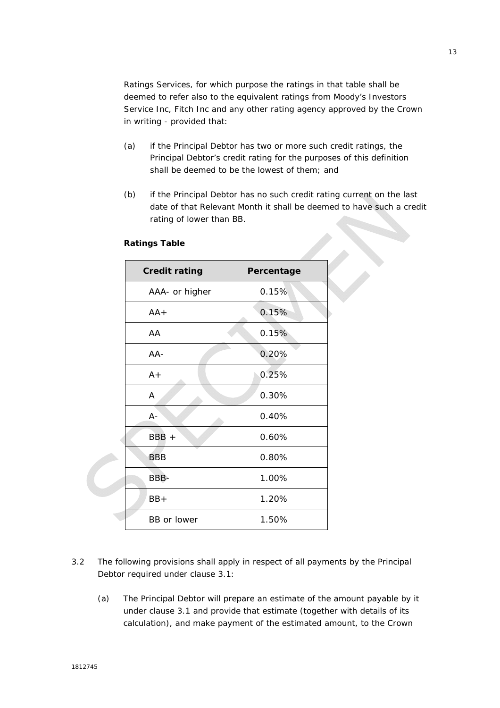Ratings Services, for which purpose the ratings in that table shall be deemed to refer also to the equivalent ratings from Moody's Investors Service Inc, Fitch Inc and any other rating agency approved by the Crown in writing - provided that:

- (a) if the Principal Debtor has two or more such credit ratings, the Principal Debtor's credit rating for the purposes of this definition shall be deemed to be the lowest of them; and
- (b) if the Principal Debtor has no such credit rating current on the last date of that Relevant Month it shall be deemed to have such a credit rating of lower than BB.

| Ratiliys Table       |            |
|----------------------|------------|
| <b>Credit rating</b> | Percentage |
| AAA- or higher       | 0.15%      |
| $AA +$               | 0.15%      |
| AA                   | 0.15%      |
| AA-                  | 0.20%      |
| $A +$                | 0.25%      |
| Α                    | 0.30%      |
| $A -$                | 0.40%      |
| $BBB +$              | 0.60%      |
| <b>BBB</b>           | 0.80%      |
| BBB-                 | 1.00%      |
| $BB+$                | 1.20%      |
| BB or lower          | 1.50%      |

#### **Ratings Table**

- 3.2 The following provisions shall apply in respect of all payments by the Principal Debtor required under clause 3.1:
	- (a) The Principal Debtor will prepare an estimate of the amount payable by it under clause 3.1 and provide that estimate (together with details of its calculation), and make payment of the estimated amount, to the Crown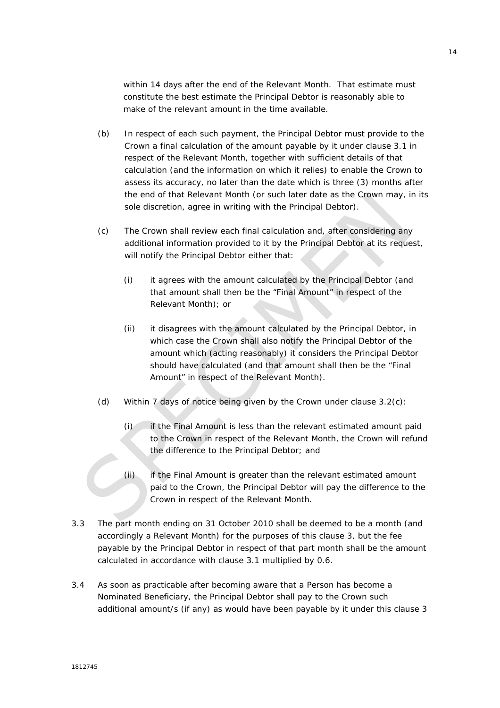within 14 days after the end of the Relevant Month. That estimate must constitute the best estimate the Principal Debtor is reasonably able to make of the relevant amount in the time available.

- (b) In respect of each such payment, the Principal Debtor must provide to the Crown a final calculation of the amount payable by it under clause 3.1 in respect of the Relevant Month, together with sufficient details of that calculation (and the information on which it relies) to enable the Crown to assess its accuracy, no later than the date which is three (3) months after the end of that Relevant Month (or such later date as the Crown may, in its sole discretion, agree in writing with the Principal Debtor).
- (c) The Crown shall review each final calculation and, after considering any additional information provided to it by the Principal Debtor at its request, will notify the Principal Debtor either that:
	- (i) it agrees with the amount calculated by the Principal Debtor (and that amount shall then be the "Final Amount" in respect of the Relevant Month); or
	- (ii) it disagrees with the amount calculated by the Principal Debtor, in which case the Crown shall also notify the Principal Debtor of the amount which (acting reasonably) it considers the Principal Debtor should have calculated (and that amount shall then be the "Final Amount" in respect of the Relevant Month).
- (d) Within 7 days of notice being given by the Crown under clause 3.2(c):
	- (i) if the Final Amount is less than the relevant estimated amount paid to the Crown in respect of the Relevant Month, the Crown will refund the difference to the Principal Debtor; and
	- (ii) if the Final Amount is greater than the relevant estimated amount paid to the Crown, the Principal Debtor will pay the difference to the Crown in respect of the Relevant Month.
- 3.3 The part month ending on 31 October 2010 shall be deemed to be a month (and accordingly a Relevant Month) for the purposes of this clause 3, but the fee payable by the Principal Debtor in respect of that part month shall be the amount calculated in accordance with clause 3.1 multiplied by 0.6.
- 3.4 As soon as practicable after becoming aware that a Person has become a Nominated Beneficiary, the Principal Debtor shall pay to the Crown such additional amount/s (if any) as would have been payable by it under this clause 3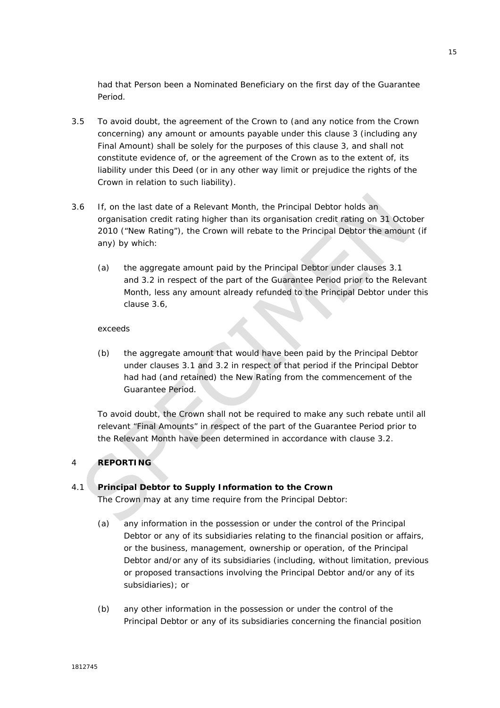had that Person been a Nominated Beneficiary on the first day of the Guarantee Period.

- 3.5 To avoid doubt, the agreement of the Crown to (and any notice from the Crown concerning) any amount or amounts payable under this clause 3 (including any Final Amount) shall be solely for the purposes of this clause 3, and shall not constitute evidence of, or the agreement of the Crown as to the extent of, its liability under this Deed (or in any other way limit or prejudice the rights of the Crown in relation to such liability).
- 3.6 If, on the last date of a Relevant Month, the Principal Debtor holds an organisation credit rating higher than its organisation credit rating on 31 October 2010 ("New Rating"), the Crown will rebate to the Principal Debtor the amount (if any) by which:
	- (a) the aggregate amount paid by the Principal Debtor under clauses 3.1 and 3.2 in respect of the part of the Guarantee Period prior to the Relevant Month, less any amount already refunded to the Principal Debtor under this clause 3.6,

#### exceeds

(b) the aggregate amount that would have been paid by the Principal Debtor under clauses 3.1 and 3.2 in respect of that period if the Principal Debtor had had (and retained) the New Rating from the commencement of the Guarantee Period.

To avoid doubt, the Crown shall not be required to make any such rebate until all relevant "Final Amounts" in respect of the part of the Guarantee Period prior to the Relevant Month have been determined in accordance with clause 3.2.

# 4 **REPORTING**

# 4.1 **Principal Debtor to Supply Information to the Crown**

The Crown may at any time require from the Principal Debtor:

- (a) any information in the possession or under the control of the Principal Debtor or any of its subsidiaries relating to the financial position or affairs, or the business, management, ownership or operation, of the Principal Debtor and/or any of its subsidiaries (including, without limitation, previous or proposed transactions involving the Principal Debtor and/or any of its subsidiaries); or
- (b) any other information in the possession or under the control of the Principal Debtor or any of its subsidiaries concerning the financial position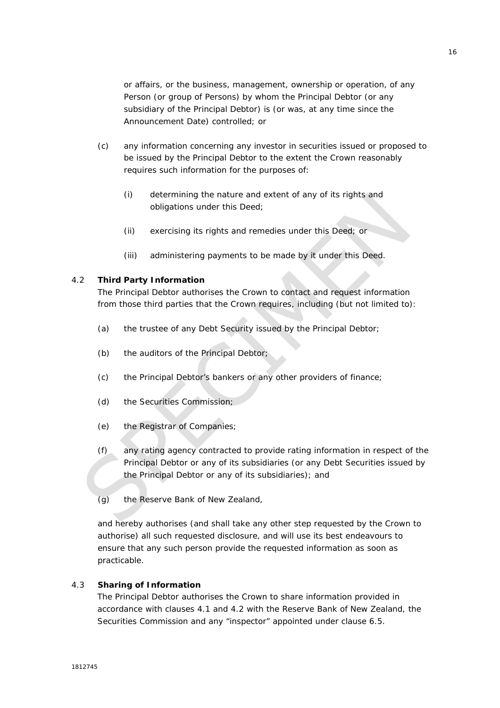or affairs, or the business, management, ownership or operation, of any Person (or group of Persons) by whom the Principal Debtor (or any subsidiary of the Principal Debtor) is (or was, at any time since the Announcement Date) controlled; or

- (c) any information concerning any investor in securities issued or proposed to be issued by the Principal Debtor to the extent the Crown reasonably requires such information for the purposes of:
	- (i) determining the nature and extent of any of its rights and obligations under this Deed;
	- (ii) exercising its rights and remedies under this Deed; or
	- (iii) administering payments to be made by it under this Deed.

# 4.2 **Third Party Information**

The Principal Debtor authorises the Crown to contact and request information from those third parties that the Crown requires, including (but not limited to):

- (a) the trustee of any Debt Security issued by the Principal Debtor;
- (b) the auditors of the Principal Debtor;
- (c) the Principal Debtor's bankers or any other providers of finance;
- (d) the Securities Commission;
- (e) the Registrar of Companies;
- (f) any rating agency contracted to provide rating information in respect of the Principal Debtor or any of its subsidiaries (or any Debt Securities issued by the Principal Debtor or any of its subsidiaries); and
- (g) the Reserve Bank of New Zealand,

and hereby authorises (and shall take any other step requested by the Crown to authorise) all such requested disclosure, and will use its best endeavours to ensure that any such person provide the requested information as soon as practicable.

# 4.3 **Sharing of Information**

The Principal Debtor authorises the Crown to share information provided in accordance with clauses 4.1 and 4.2 with the Reserve Bank of New Zealand, the Securities Commission and any "inspector" appointed under clause 6.5.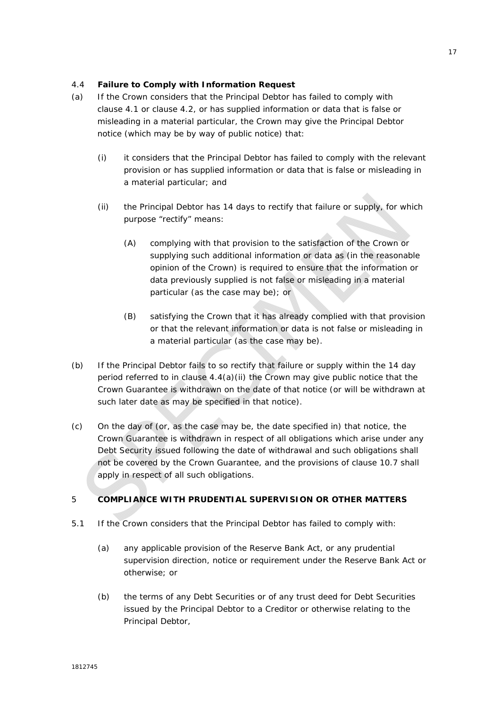# 4.4 **Failure to Comply with Information Request**

- (a) If the Crown considers that the Principal Debtor has failed to comply with clause 4.1 or clause 4.2, or has supplied information or data that is false or misleading in a material particular, the Crown may give the Principal Debtor notice (which may be by way of public notice) that:
	- (i) it considers that the Principal Debtor has failed to comply with the relevant provision or has supplied information or data that is false or misleading in a material particular; and
	- (ii) the Principal Debtor has 14 days to rectify that failure or supply, for which purpose "rectify" means:
		- (A) complying with that provision to the satisfaction of the Crown or supplying such additional information or data as (in the reasonable opinion of the Crown) is required to ensure that the information or data previously supplied is not false or misleading in a material particular (as the case may be); or
		- (B) satisfying the Crown that it has already complied with that provision or that the relevant information or data is not false or misleading in a material particular (as the case may be).
- (b) If the Principal Debtor fails to so rectify that failure or supply within the 14 day period referred to in clause  $4.4(a)(ii)$  the Crown may give public notice that the Crown Guarantee is withdrawn on the date of that notice (or will be withdrawn at such later date as may be specified in that notice).
- (c) On the day of (or, as the case may be, the date specified in) that notice, the Crown Guarantee is withdrawn in respect of all obligations which arise under any Debt Security issued following the date of withdrawal and such obligations shall not be covered by the Crown Guarantee, and the provisions of clause 10.7 shall apply in respect of all such obligations.

# 5 **COMPLIANCE WITH PRUDENTIAL SUPERVISION OR OTHER MATTERS**

- 5.1 If the Crown considers that the Principal Debtor has failed to comply with:
	- (a) any applicable provision of the Reserve Bank Act, or any prudential supervision direction, notice or requirement under the Reserve Bank Act or otherwise; or
	- (b) the terms of any Debt Securities or of any trust deed for Debt Securities issued by the Principal Debtor to a Creditor or otherwise relating to the Principal Debtor,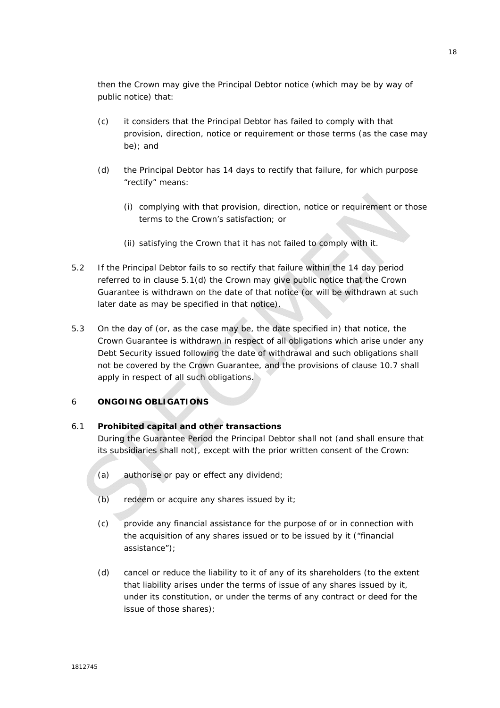then the Crown may give the Principal Debtor notice (which may be by way of public notice) that:

- (c) it considers that the Principal Debtor has failed to comply with that provision, direction, notice or requirement or those terms (as the case may be); and
- (d) the Principal Debtor has 14 days to rectify that failure, for which purpose "rectify" means:
	- (i) complying with that provision, direction, notice or requirement or those terms to the Crown's satisfaction; or
	- (ii) satisfying the Crown that it has not failed to comply with it.
- 5.2 If the Principal Debtor fails to so rectify that failure within the 14 day period referred to in clause 5.1(d) the Crown may give public notice that the Crown Guarantee is withdrawn on the date of that notice (or will be withdrawn at such later date as may be specified in that notice).
- 5.3 On the day of (or, as the case may be, the date specified in) that notice, the Crown Guarantee is withdrawn in respect of all obligations which arise under any Debt Security issued following the date of withdrawal and such obligations shall not be covered by the Crown Guarantee, and the provisions of clause 10.7 shall apply in respect of all such obligations.

# 6 **ONGOING OBLIGATIONS**

#### 6.1 **Prohibited capital and other transactions**

During the Guarantee Period the Principal Debtor shall not (and shall ensure that its subsidiaries shall not), except with the prior written consent of the Crown:

- (a) authorise or pay or effect any dividend;
- (b) redeem or acquire any shares issued by it;
- (c) provide any financial assistance for the purpose of or in connection with the acquisition of any shares issued or to be issued by it ("financial assistance");
- (d) cancel or reduce the liability to it of any of its shareholders (to the extent that liability arises under the terms of issue of any shares issued by it, under its constitution, or under the terms of any contract or deed for the issue of those shares);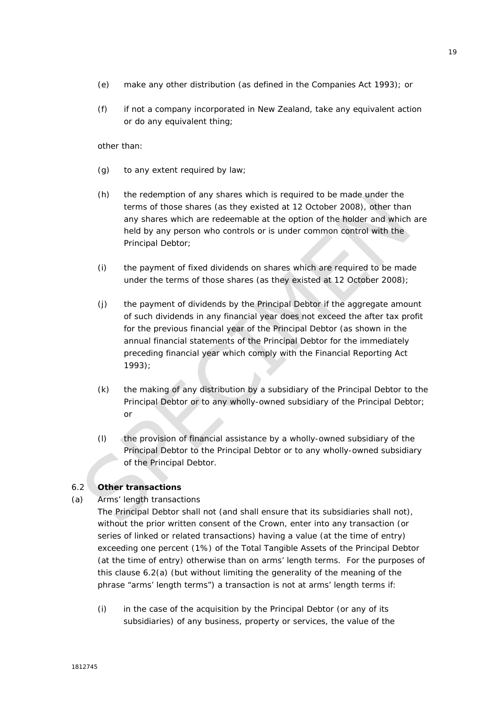- (e) make any other distribution (as defined in the Companies Act 1993); or
- (f) if not a company incorporated in New Zealand, take any equivalent action or do any equivalent thing;

other than:

- (g) to any extent required by law;
- (h) the redemption of any shares which is required to be made under the terms of those shares (as they existed at 12 October 2008), other than any shares which are redeemable at the option of the holder and which are held by any person who controls or is under common control with the Principal Debtor;
- (i) the payment of fixed dividends on shares which are required to be made under the terms of those shares (as they existed at 12 October 2008);
- (j) the payment of dividends by the Principal Debtor if the aggregate amount of such dividends in any financial year does not exceed the after tax profit for the previous financial year of the Principal Debtor (as shown in the annual financial statements of the Principal Debtor for the immediately preceding financial year which comply with the Financial Reporting Act 1993);
- (k) the making of any distribution by a subsidiary of the Principal Debtor to the Principal Debtor or to any wholly-owned subsidiary of the Principal Debtor; or
- (l) the provision of financial assistance by a wholly-owned subsidiary of the Principal Debtor to the Principal Debtor or to any wholly-owned subsidiary of the Principal Debtor.

# 6.2 **Other transactions**

# (a) *Arms' length transactions*

The Principal Debtor shall not (and shall ensure that its subsidiaries shall not), without the prior written consent of the Crown, enter into any transaction (or series of linked or related transactions) having a value (at the time of entry) exceeding one percent (1%) of the Total Tangible Assets of the Principal Debtor (at the time of entry) otherwise than on arms' length terms. For the purposes of this clause 6.2(a) (but without limiting the generality of the meaning of the phrase "arms' length terms") a transaction is not at arms' length terms if:

(i) in the case of the acquisition by the Principal Debtor (or any of its subsidiaries) of any business, property or services, the value of the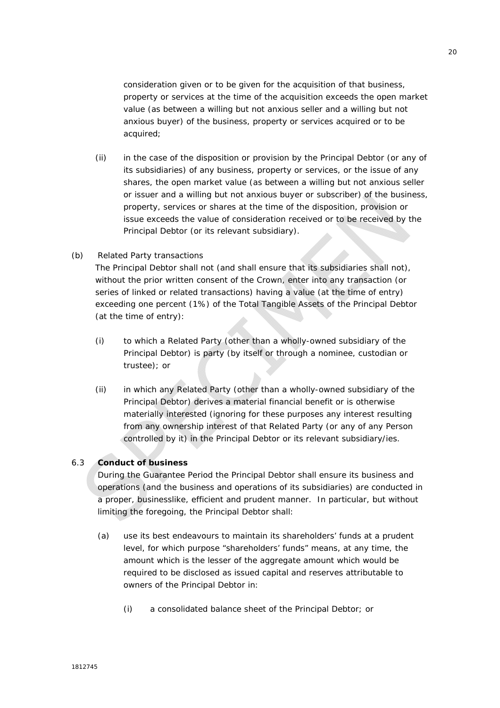consideration given or to be given for the acquisition of that business, property or services at the time of the acquisition exceeds the open market value (as between a willing but not anxious seller and a willing but not anxious buyer) of the business, property or services acquired or to be acquired;

(ii) in the case of the disposition or provision by the Principal Debtor (or any of its subsidiaries) of any business, property or services, or the issue of any shares, the open market value (as between a willing but not anxious seller or issuer and a willing but not anxious buyer or subscriber) of the business, property, services or shares at the time of the disposition, provision or issue exceeds the value of consideration received or to be received by the Principal Debtor (or its relevant subsidiary).

#### (b) *Related Party transactions*

The Principal Debtor shall not (and shall ensure that its subsidiaries shall not), without the prior written consent of the Crown, enter into any transaction (or series of linked or related transactions) having a value (at the time of entry) exceeding one percent (1%) of the Total Tangible Assets of the Principal Debtor (at the time of entry):

- (i) to which a Related Party (other than a wholly-owned subsidiary of the Principal Debtor) is party (by itself or through a nominee, custodian or trustee); or
- (ii) in which any Related Party (other than a wholly-owned subsidiary of the Principal Debtor) derives a material financial benefit or is otherwise materially interested (ignoring for these purposes any interest resulting from any ownership interest of that Related Party (or any of any Person controlled by it) in the Principal Debtor or its relevant subsidiary/ies.

# 6.3 **Conduct of business**

During the Guarantee Period the Principal Debtor shall ensure its business and operations (and the business and operations of its subsidiaries) are conducted in a proper, businesslike, efficient and prudent manner. In particular, but without limiting the foregoing, the Principal Debtor shall:

- (a) use its best endeavours to maintain its shareholders' funds at a prudent level, for which purpose "shareholders' funds" means, at any time, the amount which is the lesser of the aggregate amount which would be required to be disclosed as issued capital and reserves attributable to owners of the Principal Debtor in:
	- (i) a consolidated balance sheet of the Principal Debtor; or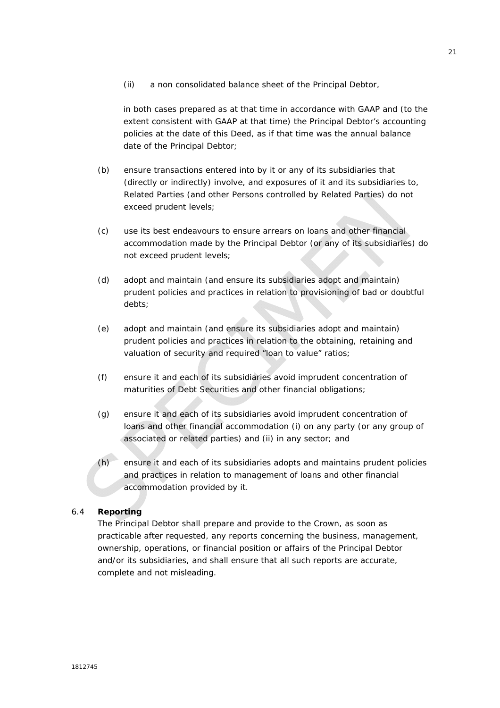(ii) a non consolidated balance sheet of the Principal Debtor,

in both cases prepared as at that time in accordance with GAAP and (to the extent consistent with GAAP at that time) the Principal Debtor's accounting policies at the date of this Deed, as if that time was the annual balance date of the Principal Debtor;

- (b) ensure transactions entered into by it or any of its subsidiaries that (directly or indirectly) involve, and exposures of it and its subsidiaries to, Related Parties (and other Persons controlled by Related Parties) do not exceed prudent levels;
- (c) use its best endeavours to ensure arrears on loans and other financial accommodation made by the Principal Debtor (or any of its subsidiaries) do not exceed prudent levels;
- (d) adopt and maintain (and ensure its subsidiaries adopt and maintain) prudent policies and practices in relation to provisioning of bad or doubtful debts;
- (e) adopt and maintain (and ensure its subsidiaries adopt and maintain) prudent policies and practices in relation to the obtaining, retaining and valuation of security and required "loan to value" ratios;
- (f) ensure it and each of its subsidiaries avoid imprudent concentration of maturities of Debt Securities and other financial obligations;
- (g) ensure it and each of its subsidiaries avoid imprudent concentration of loans and other financial accommodation (i) on any party (or any group of associated or related parties) and (ii) in any sector; and
- (h) ensure it and each of its subsidiaries adopts and maintains prudent policies and practices in relation to management of loans and other financial accommodation provided by it.

# 6.4 **Reporting**

The Principal Debtor shall prepare and provide to the Crown, as soon as practicable after requested, any reports concerning the business, management, ownership, operations, or financial position or affairs of the Principal Debtor and/or its subsidiaries, and shall ensure that all such reports are accurate, complete and not misleading.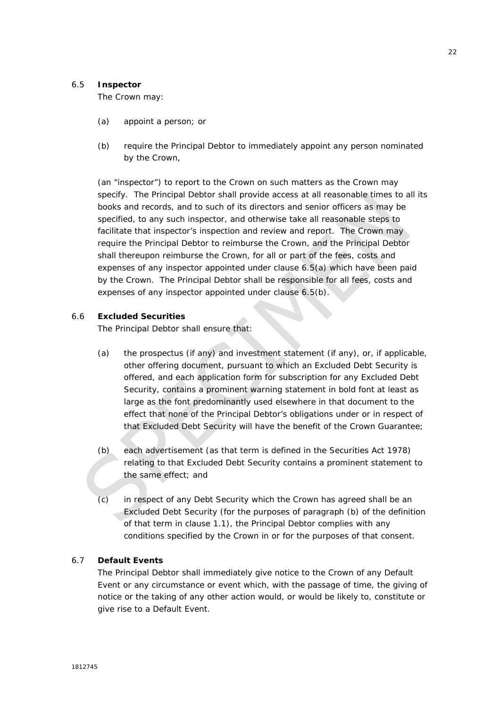#### 6.5 **Inspector**

The Crown may:

- (a) appoint a person; or
- (b) require the Principal Debtor to immediately appoint any person nominated by the Crown,

(an "inspector") to report to the Crown on such matters as the Crown may specify. The Principal Debtor shall provide access at all reasonable times to all its books and records, and to such of its directors and senior officers as may be specified, to any such inspector, and otherwise take all reasonable steps to facilitate that inspector's inspection and review and report. The Crown may require the Principal Debtor to reimburse the Crown, and the Principal Debtor shall thereupon reimburse the Crown, for all or part of the fees, costs and expenses of any inspector appointed under clause 6.5(a) which have been paid by the Crown. The Principal Debtor shall be responsible for all fees, costs and expenses of any inspector appointed under clause 6.5(b).

# 6.6 **Excluded Securities**

The Principal Debtor shall ensure that:

- (a) the prospectus (if any) and investment statement (if any), or, if applicable, other offering document, pursuant to which an Excluded Debt Security is offered, and each application form for subscription for any Excluded Debt Security, contains a prominent warning statement in bold font at least as large as the font predominantly used elsewhere in that document to the effect that none of the Principal Debtor's obligations under or in respect of that Excluded Debt Security will have the benefit of the Crown Guarantee;
- (b) each advertisement (as that term is defined in the Securities Act 1978) relating to that Excluded Debt Security contains a prominent statement to the same effect; and
- (c) in respect of any Debt Security which the Crown has agreed shall be an Excluded Debt Security (for the purposes of paragraph (b) of the definition of that term in clause 1.1), the Principal Debtor complies with any conditions specified by the Crown in or for the purposes of that consent.

# 6.7 **Default Events**

The Principal Debtor shall immediately give notice to the Crown of any Default Event or any circumstance or event which, with the passage of time, the giving of notice or the taking of any other action would, or would be likely to, constitute or give rise to a Default Event.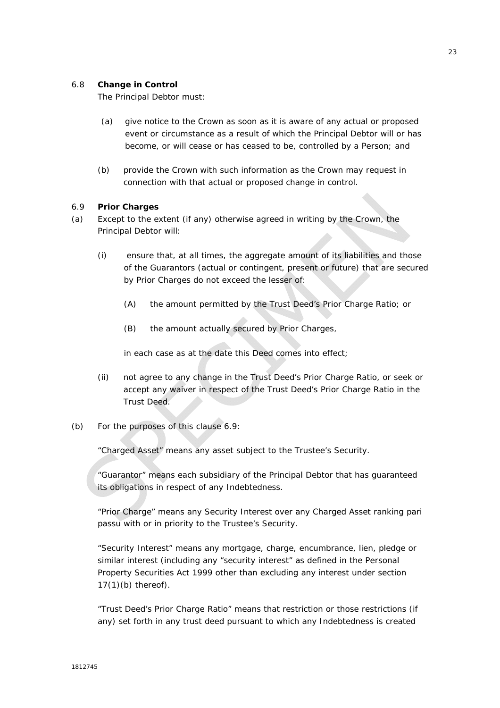## 6.8 **Change in Control**

The Principal Debtor must:

- (a) give notice to the Crown as soon as it is aware of any actual or proposed event or circumstance as a result of which the Principal Debtor will or has become, or will cease or has ceased to be, controlled by a Person; and
- (b) provide the Crown with such information as the Crown may request in connection with that actual or proposed change in control.

#### 6.9 **Prior Charges**

- (a) Except to the extent (if any) otherwise agreed in writing by the Crown, the Principal Debtor will:
	- (i) ensure that, at all times, the aggregate amount of its liabilities and those of the Guarantors (actual or contingent, present or future) that are secured by Prior Charges do not exceed the lesser of:
		- (A) the amount permitted by the Trust Deed's Prior Charge Ratio; or
		- (B) the amount actually secured by Prior Charges,

in each case as at the date this Deed comes into effect;

- (ii) not agree to any change in the Trust Deed's Prior Charge Ratio, or seek or accept any waiver in respect of the Trust Deed's Prior Charge Ratio in the Trust Deed.
- (b) For the purposes of this clause 6.9:

"Charged Asset" means any asset subject to the Trustee's Security.

"Guarantor" means each subsidiary of the Principal Debtor that has guaranteed its obligations in respect of any Indebtedness.

"Prior Charge" means any Security Interest over any Charged Asset ranking pari passu with or in priority to the Trustee's Security.

"Security Interest" means any mortgage, charge, encumbrance, lien, pledge or similar interest (including any "security interest" as defined in the Personal Property Securities Act 1999 other than excluding any interest under section 17(1)(b) thereof).

"Trust Deed's Prior Charge Ratio" means that restriction or those restrictions (if any) set forth in any trust deed pursuant to which any Indebtedness is created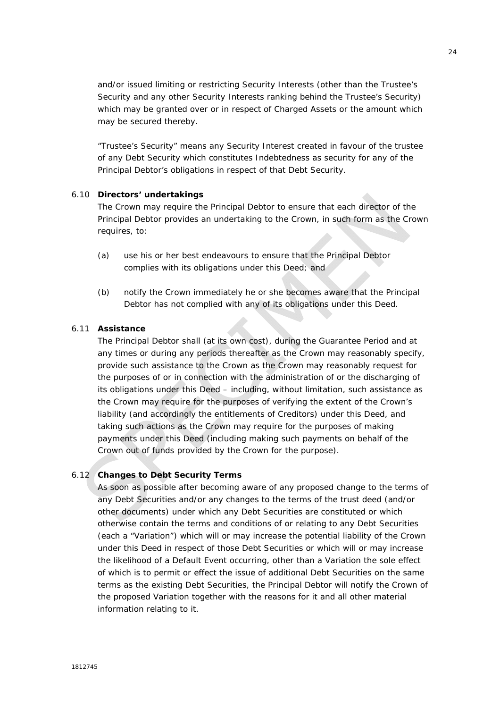and/or issued limiting or restricting Security Interests (other than the Trustee's Security and any other Security Interests ranking behind the Trustee's Security) which may be granted over or in respect of Charged Assets or the amount which may be secured thereby.

"Trustee's Security" means any Security Interest created in favour of the trustee of any Debt Security which constitutes Indebtedness as security for any of the Principal Debtor's obligations in respect of that Debt Security.

#### 6.10 **Directors' undertakings**

The Crown may require the Principal Debtor to ensure that each director of the Principal Debtor provides an undertaking to the Crown, in such form as the Crown requires, to:

- (a) use his or her best endeavours to ensure that the Principal Debtor complies with its obligations under this Deed; and
- (b) notify the Crown immediately he or she becomes aware that the Principal Debtor has not complied with any of its obligations under this Deed.

#### 6.11 **Assistance**

The Principal Debtor shall (at its own cost), during the Guarantee Period and at any times or during any periods thereafter as the Crown may reasonably specify, provide such assistance to the Crown as the Crown may reasonably request for the purposes of or in connection with the administration of or the discharging of its obligations under this Deed – including, without limitation, such assistance as the Crown may require for the purposes of verifying the extent of the Crown's liability (and accordingly the entitlements of Creditors) under this Deed, and taking such actions as the Crown may require for the purposes of making payments under this Deed (including making such payments on behalf of the Crown out of funds provided by the Crown for the purpose).

#### 6.12 **Changes to Debt Security Terms**

As soon as possible after becoming aware of any proposed change to the terms of any Debt Securities and/or any changes to the terms of the trust deed (and/or other documents) under which any Debt Securities are constituted or which otherwise contain the terms and conditions of or relating to any Debt Securities (each a "Variation") which will or may increase the potential liability of the Crown under this Deed in respect of those Debt Securities or which will or may increase the likelihood of a Default Event occurring, other than a Variation the sole effect of which is to permit or effect the issue of additional Debt Securities on the same terms as the existing Debt Securities, the Principal Debtor will notify the Crown of the proposed Variation together with the reasons for it and all other material information relating to it.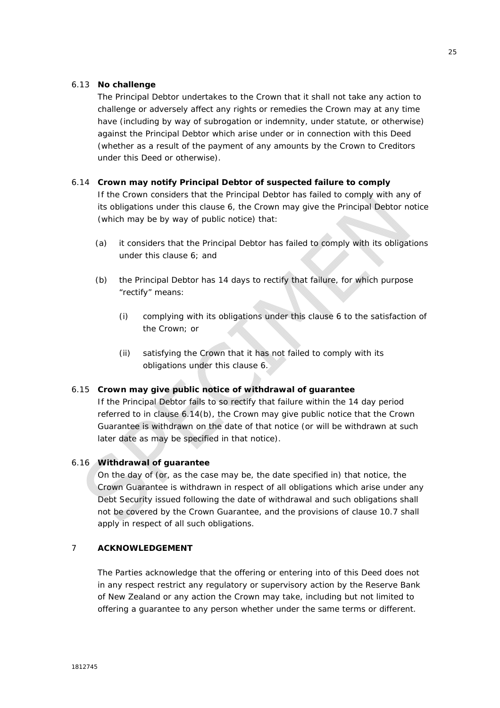# 6.13 **No challenge**

The Principal Debtor undertakes to the Crown that it shall not take any action to challenge or adversely affect any rights or remedies the Crown may at any time have (including by way of subrogation or indemnity, under statute, or otherwise) against the Principal Debtor which arise under or in connection with this Deed (whether as a result of the payment of any amounts by the Crown to Creditors under this Deed or otherwise).

# 6.14 **Crown may notify Principal Debtor of suspected failure to comply**

If the Crown considers that the Principal Debtor has failed to comply with any of its obligations under this clause 6, the Crown may give the Principal Debtor notice (which may be by way of public notice) that:

- (a) it considers that the Principal Debtor has failed to comply with its obligations under this clause 6; and
- (b) the Principal Debtor has 14 days to rectify that failure, for which purpose "rectify" means:
	- (i) complying with its obligations under this clause 6 to the satisfaction of the Crown; or
	- (ii) satisfying the Crown that it has not failed to comply with its obligations under this clause 6.

# 6.15 **Crown may give public notice of withdrawal of guarantee**

If the Principal Debtor fails to so rectify that failure within the 14 day period referred to in clause 6.14(b), the Crown may give public notice that the Crown Guarantee is withdrawn on the date of that notice (or will be withdrawn at such later date as may be specified in that notice).

# 6.16 **Withdrawal of guarantee**

On the day of (or, as the case may be, the date specified in) that notice, the Crown Guarantee is withdrawn in respect of all obligations which arise under any Debt Security issued following the date of withdrawal and such obligations shall not be covered by the Crown Guarantee, and the provisions of clause 10.7 shall apply in respect of all such obligations.

# 7 **ACKNOWLEDGEMENT**

The Parties acknowledge that the offering or entering into of this Deed does not in any respect restrict any regulatory or supervisory action by the Reserve Bank of New Zealand or any action the Crown may take, including but not limited to offering a guarantee to any person whether under the same terms or different.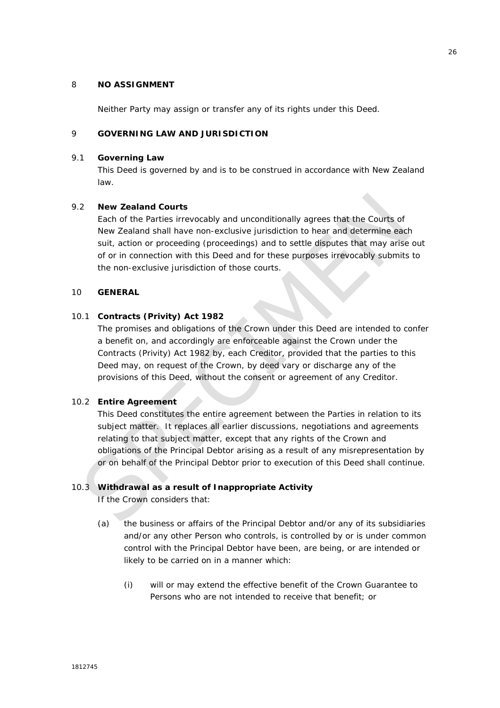#### 8 **NO ASSIGNMENT**

Neither Party may assign or transfer any of its rights under this Deed.

# 9 **GOVERNING LAW AND JURISDICTION**

#### 9.1 **Governing Law**

This Deed is governed by and is to be construed in accordance with New Zealand law.

## 9.2 **New Zealand Courts**

Each of the Parties irrevocably and unconditionally agrees that the Courts of New Zealand shall have non-exclusive jurisdiction to hear and determine each suit, action or proceeding (proceedings) and to settle disputes that may arise out of or in connection with this Deed and for these purposes irrevocably submits to the non-exclusive jurisdiction of those courts.

# 10 **GENERAL**

# 10.1 **Contracts (Privity) Act 1982**

The promises and obligations of the Crown under this Deed are intended to confer a benefit on, and accordingly are enforceable against the Crown under the Contracts (Privity) Act 1982 by, each Creditor, provided that the parties to this Deed may, on request of the Crown, by deed vary or discharge any of the provisions of this Deed, without the consent or agreement of any Creditor.

# 10.2 **Entire Agreement**

This Deed constitutes the entire agreement between the Parties in relation to its subject matter. It replaces all earlier discussions, negotiations and agreements relating to that subject matter, except that any rights of the Crown and obligations of the Principal Debtor arising as a result of any misrepresentation by or on behalf of the Principal Debtor prior to execution of this Deed shall continue.

# 10.3 **Withdrawal as a result of Inappropriate Activity**

If the Crown considers that:

- (a) the business or affairs of the Principal Debtor and/or any of its subsidiaries and/or any other Person who controls, is controlled by or is under common control with the Principal Debtor have been, are being, or are intended or likely to be carried on in a manner which:
	- (i) will or may extend the effective benefit of the Crown Guarantee to Persons who are not intended to receive that benefit; or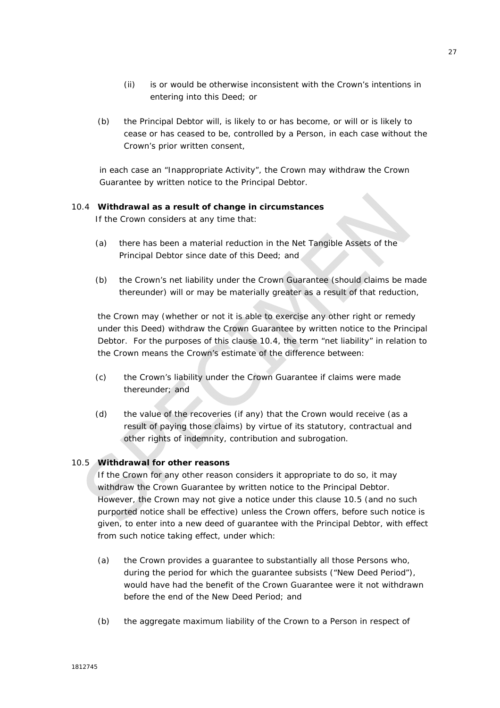- (ii) is or would be otherwise inconsistent with the Crown's intentions in entering into this Deed; or
- (b) the Principal Debtor will, is likely to or has become, or will or is likely to cease or has ceased to be, controlled by a Person, in each case without the Crown's prior written consent,

in each case an "Inappropriate Activity", the Crown may withdraw the Crown Guarantee by written notice to the Principal Debtor.

#### 10.4 **Withdrawal as a result of change in circumstances**

If the Crown considers at any time that:

- (a) there has been a material reduction in the Net Tangible Assets of the Principal Debtor since date of this Deed; and
- (b) the Crown's net liability under the Crown Guarantee (should claims be made thereunder) will or may be materially greater as a result of that reduction,

the Crown may (whether or not it is able to exercise any other right or remedy under this Deed) withdraw the Crown Guarantee by written notice to the Principal Debtor. For the purposes of this clause 10.4, the term "net liability" in relation to the Crown means the Crown's estimate of the difference between:

- (c) the Crown's liability under the Crown Guarantee if claims were made thereunder; and
- (d) the value of the recoveries (if any) that the Crown would receive (as a result of paying those claims) by virtue of its statutory, contractual and other rights of indemnity, contribution and subrogation.

# 10.5 **Withdrawal for other reasons**

If the Crown for any other reason considers it appropriate to do so, it may withdraw the Crown Guarantee by written notice to the Principal Debtor. However, the Crown may not give a notice under this clause 10.5 (and no such purported notice shall be effective) unless the Crown offers, before such notice is given, to enter into a new deed of guarantee with the Principal Debtor, with effect from such notice taking effect, under which:

- (a) the Crown provides a guarantee to substantially all those Persons who, during the period for which the guarantee subsists ("New Deed Period"), would have had the benefit of the Crown Guarantee were it not withdrawn before the end of the New Deed Period; and
- (b) the aggregate maximum liability of the Crown to a Person in respect of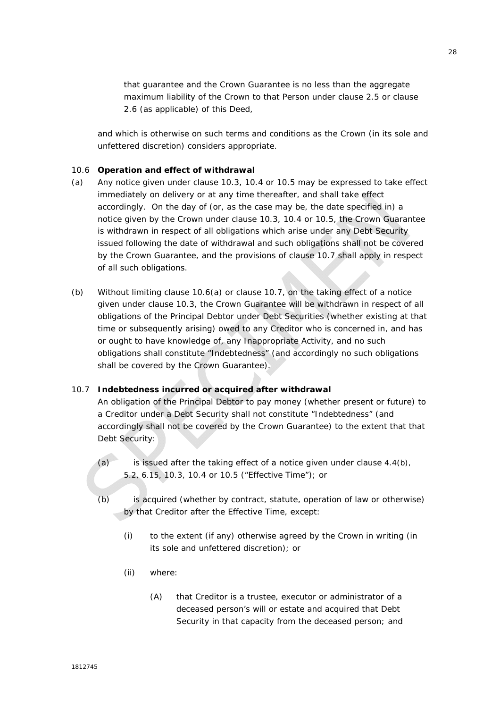that guarantee and the Crown Guarantee is no less than the aggregate maximum liability of the Crown to that Person under clause 2.5 or clause 2.6 (as applicable) of this Deed,

and which is otherwise on such terms and conditions as the Crown (in its sole and unfettered discretion) considers appropriate.

#### 10.6 **Operation and effect of withdrawal**

- (a) Any notice given under clause 10.3, 10.4 or 10.5 may be expressed to take effect immediately on delivery or at any time thereafter, and shall take effect accordingly. On the day of (or, as the case may be, the date specified in) a notice given by the Crown under clause 10.3, 10.4 or 10.5, the Crown Guarantee is withdrawn in respect of all obligations which arise under any Debt Security issued following the date of withdrawal and such obligations shall not be covered by the Crown Guarantee, and the provisions of clause 10.7 shall apply in respect of all such obligations.
- (b) Without limiting clause 10.6(a) or clause 10.7, on the taking effect of a notice given under clause 10.3, the Crown Guarantee will be withdrawn in respect of all obligations of the Principal Debtor under Debt Securities (whether existing at that time or subsequently arising) owed to any Creditor who is concerned in, and has or ought to have knowledge of, any Inappropriate Activity, and no such obligations shall constitute "Indebtedness" (and accordingly no such obligations shall be covered by the Crown Guarantee).

#### 10.7 **Indebtedness incurred or acquired after withdrawal**

An obligation of the Principal Debtor to pay money (whether present or future) to a Creditor under a Debt Security shall not constitute "Indebtedness" (and accordingly shall not be covered by the Crown Guarantee) to the extent that that Debt Security:

(a) is issued after the taking effect of a notice given under clause  $4.4(b)$ , 5.2, 6.15, 10.3, 10.4 or 10.5 ("Effective Time"); or

- (b) is acquired (whether by contract, statute, operation of law or otherwise) by that Creditor after the Effective Time, except:
	- (i) to the extent (if any) otherwise agreed by the Crown in writing (in its sole and unfettered discretion); or
	- (ii) where:
		- (A) that Creditor is a trustee, executor or administrator of a deceased person's will or estate and acquired that Debt Security in that capacity from the deceased person; and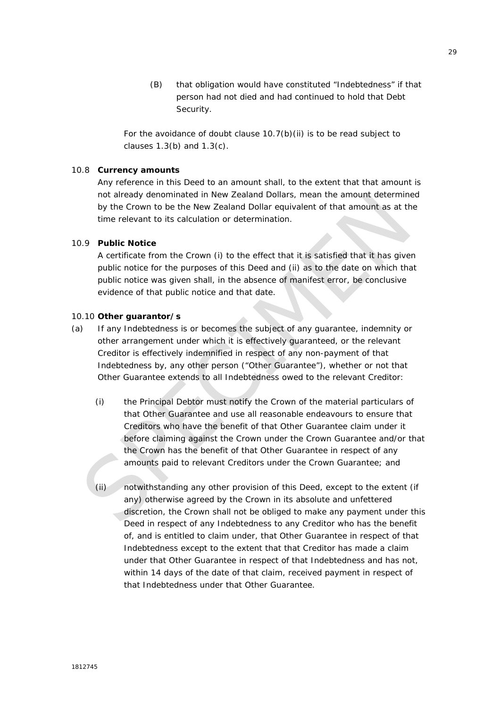(B) that obligation would have constituted "Indebtedness" if that person had not died and had continued to hold that Debt Security.

For the avoidance of doubt clause 10.7(b)(ii) is to be read subject to clauses  $1.3(b)$  and  $1.3(c)$ .

#### 10.8 **Currency amounts**

Any reference in this Deed to an amount shall, to the extent that that amount is not already denominated in New Zealand Dollars, mean the amount determined by the Crown to be the New Zealand Dollar equivalent of that amount as at the time relevant to its calculation or determination.

# 10.9 **Public Notice**

A certificate from the Crown (i) to the effect that it is satisfied that it has given public notice for the purposes of this Deed and (ii) as to the date on which that public notice was given shall, in the absence of manifest error, be conclusive evidence of that public notice and that date.

# 10.10 **Other guarantor/s**

- (a) If any Indebtedness is or becomes the subject of any guarantee, indemnity or other arrangement under which it is effectively guaranteed, or the relevant Creditor is effectively indemnified in respect of any non-payment of that Indebtedness by, any other person ("Other Guarantee"), whether or not that Other Guarantee extends to all Indebtedness owed to the relevant Creditor:
	- (i) the Principal Debtor must notify the Crown of the material particulars of that Other Guarantee and use all reasonable endeavours to ensure that Creditors who have the benefit of that Other Guarantee claim under it before claiming against the Crown under the Crown Guarantee and/or that the Crown has the benefit of that Other Guarantee in respect of any amounts paid to relevant Creditors under the Crown Guarantee; and
	- (ii) notwithstanding any other provision of this Deed, except to the extent (if any) otherwise agreed by the Crown in its absolute and unfettered discretion, the Crown shall not be obliged to make any payment under this Deed in respect of any Indebtedness to any Creditor who has the benefit of, and is entitled to claim under, that Other Guarantee in respect of that Indebtedness except to the extent that that Creditor has made a claim under that Other Guarantee in respect of that Indebtedness and has not, within 14 days of the date of that claim, received payment in respect of that Indebtedness under that Other Guarantee.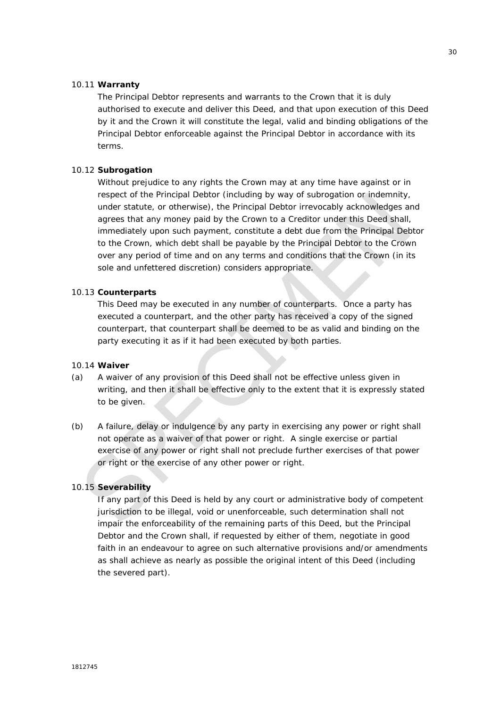#### 10.11 **Warranty**

The Principal Debtor represents and warrants to the Crown that it is duly authorised to execute and deliver this Deed, and that upon execution of this Deed by it and the Crown it will constitute the legal, valid and binding obligations of the Principal Debtor enforceable against the Principal Debtor in accordance with its terms.

# 10.12 **Subrogation**

Without prejudice to any rights the Crown may at any time have against or in respect of the Principal Debtor (including by way of subrogation or indemnity, under statute, or otherwise), the Principal Debtor irrevocably acknowledges and agrees that any money paid by the Crown to a Creditor under this Deed shall, immediately upon such payment, constitute a debt due from the Principal Debtor to the Crown, which debt shall be payable by the Principal Debtor to the Crown over any period of time and on any terms and conditions that the Crown (in its sole and unfettered discretion) considers appropriate.

## 10.13 **Counterparts**

This Deed may be executed in any number of counterparts. Once a party has executed a counterpart, and the other party has received a copy of the signed counterpart, that counterpart shall be deemed to be as valid and binding on the party executing it as if it had been executed by both parties.

#### 10.14 **Waiver**

- (a) A waiver of any provision of this Deed shall not be effective unless given in writing, and then it shall be effective only to the extent that it is expressly stated to be given.
- (b) A failure, delay or indulgence by any party in exercising any power or right shall not operate as a waiver of that power or right. A single exercise or partial exercise of any power or right shall not preclude further exercises of that power or right or the exercise of any other power or right.

#### 10.15 **Severability**

If any part of this Deed is held by any court or administrative body of competent jurisdiction to be illegal, void or unenforceable, such determination shall not impair the enforceability of the remaining parts of this Deed, but the Principal Debtor and the Crown shall, if requested by either of them, negotiate in good faith in an endeavour to agree on such alternative provisions and/or amendments as shall achieve as nearly as possible the original intent of this Deed (including the severed part).